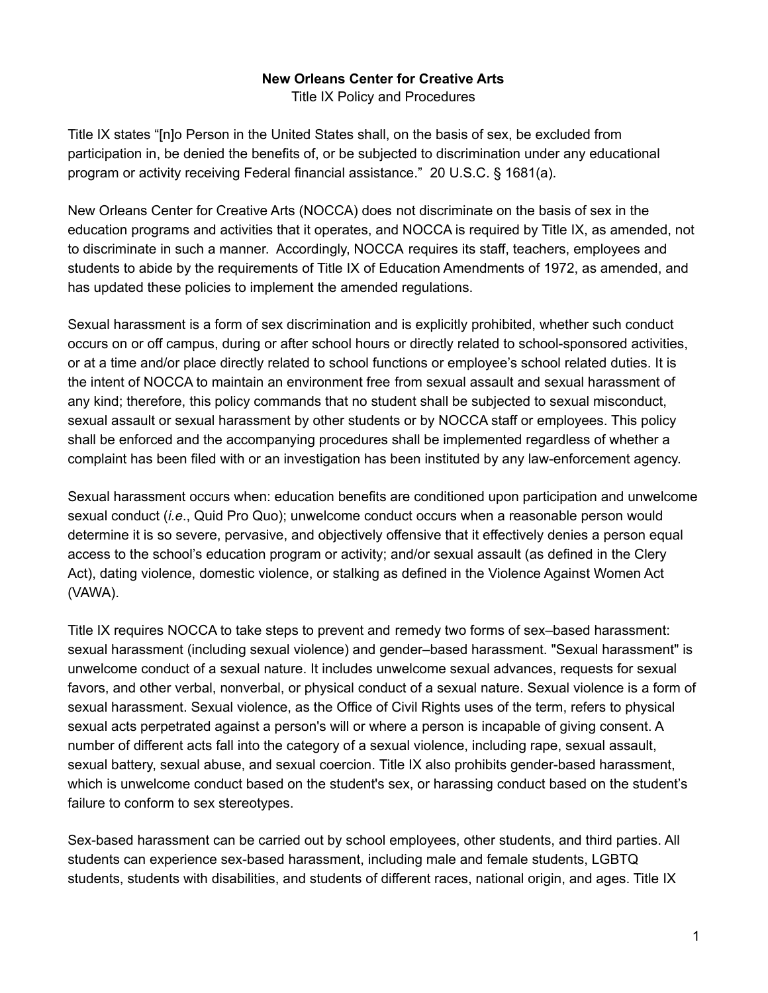#### **New Orleans Center for Creative Arts**

Title IX Policy and Procedures

Title IX states "[n]o Person in the United States shall, on the basis of sex, be excluded from participation in, be denied the benefits of, or be subjected to discrimination under any educational program or activity receiving Federal financial assistance." 20 U.S.C. § 1681(a).

New Orleans Center for Creative Arts (NOCCA) does not discriminate on the basis of sex in the education programs and activities that it operates, and NOCCA is required by Title IX, as amended, not to discriminate in such a manner. Accordingly, NOCCA requires its staff, teachers, employees and students to abide by the requirements of Title IX of Education Amendments of 1972, as amended, and has updated these policies to implement the amended regulations.

Sexual harassment is a form of sex discrimination and is explicitly prohibited, whether such conduct occurs on or off campus, during or after school hours or directly related to school-sponsored activities, or at a time and/or place directly related to school functions or employee's school related duties. It is the intent of NOCCA to maintain an environment free from sexual assault and sexual harassment of any kind; therefore, this policy commands that no student shall be subjected to sexual misconduct, sexual assault or sexual harassment by other students or by NOCCA staff or employees. This policy shall be enforced and the accompanying procedures shall be implemented regardless of whether a complaint has been filed with or an investigation has been instituted by any law-enforcement agency.

Sexual harassment occurs when: education benefits are conditioned upon participation and unwelcome sexual conduct (*i.e*., Quid Pro Quo); unwelcome conduct occurs when a reasonable person would determine it is so severe, pervasive, and objectively offensive that it effectively denies a person equal access to the school's education program or activity; and/or sexual assault (as defined in the Clery Act), dating violence, domestic violence, or stalking as defined in the Violence Against Women Act (VAWA).

Title IX requires NOCCA to take steps to prevent and remedy two forms of sex–based harassment: sexual harassment (including sexual violence) and gender–based harassment. "Sexual harassment" is unwelcome conduct of a sexual nature. It includes unwelcome sexual advances, requests for sexual favors, and other verbal, nonverbal, or physical conduct of a sexual nature. Sexual violence is a form of sexual harassment. Sexual violence, as the Office of Civil Rights uses of the term, refers to physical sexual acts perpetrated against a person's will or where a person is incapable of giving consent. A number of different acts fall into the category of a sexual violence, including rape, sexual assault, sexual battery, sexual abuse, and sexual coercion. Title IX also prohibits gender-based harassment, which is unwelcome conduct based on the student's sex, or harassing conduct based on the student's failure to conform to sex stereotypes.

Sex-based harassment can be carried out by school employees, other students, and third parties. All students can experience sex-based harassment, including male and female students, LGBTQ students, students with disabilities, and students of different races, national origin, and ages. Title IX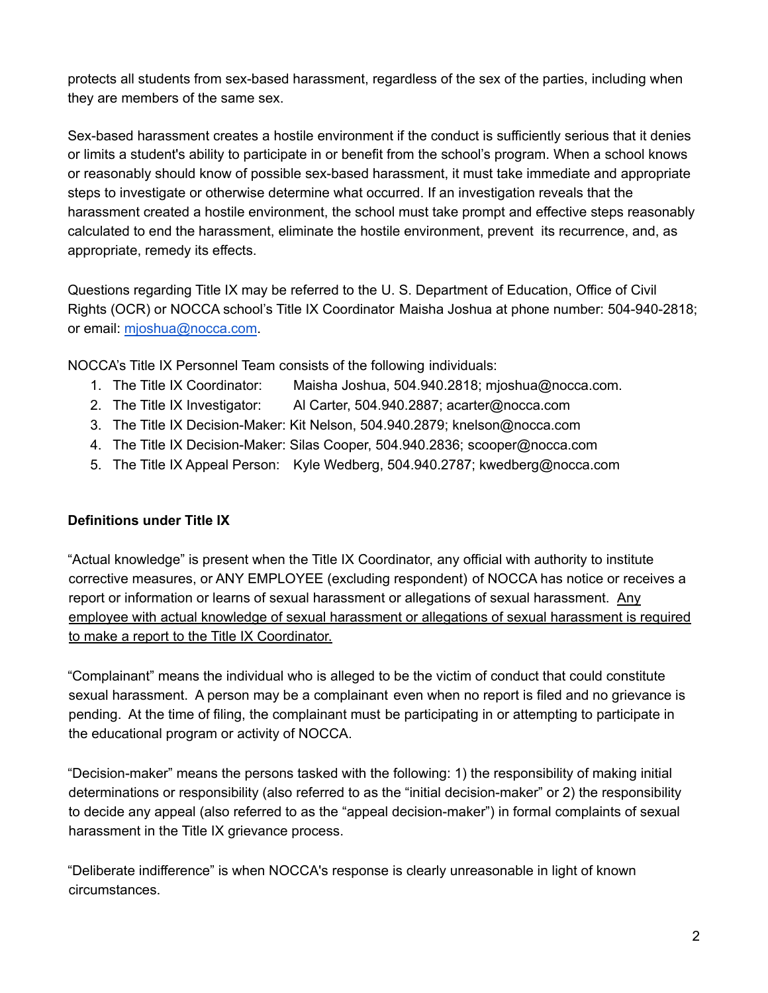protects all students from sex-based harassment, regardless of the sex of the parties, including when they are members of the same sex.

Sex-based harassment creates a hostile environment if the conduct is sufficiently serious that it denies or limits a student's ability to participate in or benefit from the school's program. When a school knows or reasonably should know of possible sex-based harassment, it must take immediate and appropriate steps to investigate or otherwise determine what occurred. If an investigation reveals that the harassment created a hostile environment, the school must take prompt and effective steps reasonably calculated to end the harassment, eliminate the hostile environment, prevent its recurrence, and, as appropriate, remedy its effects.

Questions regarding Title IX may be referred to the U. S. Department of Education, Office of Civil Rights (OCR) or NOCCA school's Title IX Coordinator Maisha Joshua at phone number: 504-940-2818; or email: mjoshua@nocca.com.

NOCCA's Title IX Personnel Team consists of the following individuals:

- 1. The Title IX Coordinator: Maisha Joshua, 504.940.2818; mjoshua@nocca.com.
- 2. The Title IX Investigator: Al Carter, 504.940.2887; acarter@nocca.com
- 3. The Title IX Decision-Maker: Kit Nelson, 504.940.2879; knelson@nocca.com
- 4. The Title IX Decision-Maker: Silas Cooper, 504.940.2836; scooper@nocca.com
- 5. The Title IX Appeal Person: Kyle Wedberg, 504.940.2787; kwedberg@nocca.com

### **Definitions under Title IX**

"Actual knowledge" is present when the Title IX Coordinator, any official with authority to institute corrective measures, or ANY EMPLOYEE (excluding respondent) of NOCCA has notice or receives a report or information or learns of sexual harassment or allegations of sexual harassment. Any employee with actual knowledge of sexual harassment or allegations of sexual harassment is required to make a report to the Title IX Coordinator.

"Complainant" means the individual who is alleged to be the victim of conduct that could constitute sexual harassment. A person may be a complainant even when no report is filed and no grievance is pending. At the time of filing, the complainant must be participating in or attempting to participate in the educational program or activity of NOCCA.

"Decision-maker" means the persons tasked with the following: 1) the responsibility of making initial determinations or responsibility (also referred to as the "initial decision-maker" or 2) the responsibility to decide any appeal (also referred to as the "appeal decision-maker") in formal complaints of sexual harassment in the Title IX grievance process.

"Deliberate indifference" is when NOCCA's response is clearly unreasonable in light of known circumstances.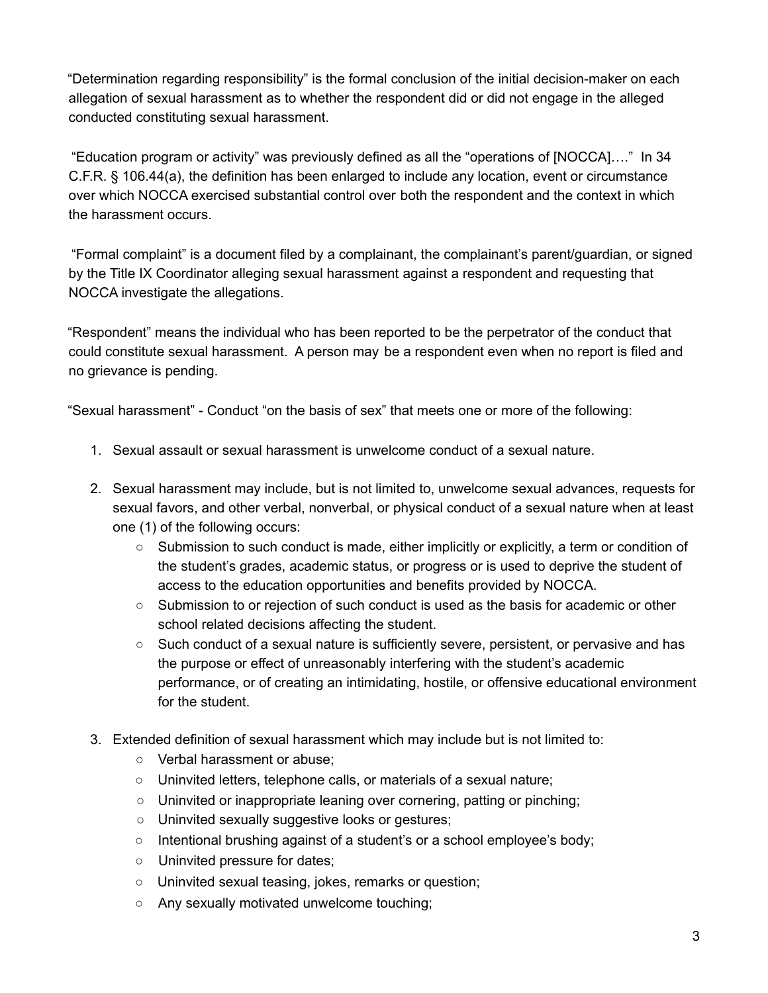"Determination regarding responsibility" is the formal conclusion of the initial decision-maker on each allegation of sexual harassment as to whether the respondent did or did not engage in the alleged conducted constituting sexual harassment.

"Education program or activity" was previously defined as all the "operations of [NOCCA]…." In 34 C.F.R. § 106.44(a), the definition has been enlarged to include any location, event or circumstance over which NOCCA exercised substantial control over both the respondent and the context in which the harassment occurs.

"Formal complaint" is a document filed by a complainant, the complainant's parent/guardian, or signed by the Title IX Coordinator alleging sexual harassment against a respondent and requesting that NOCCA investigate the allegations.

"Respondent" means the individual who has been reported to be the perpetrator of the conduct that could constitute sexual harassment. A person may be a respondent even when no report is filed and no grievance is pending.

"Sexual harassment" - Conduct "on the basis of sex" that meets one or more of the following:

- 1. Sexual assault or sexual harassment is unwelcome conduct of a sexual nature.
- 2. Sexual harassment may include, but is not limited to, unwelcome sexual advances, requests for sexual favors, and other verbal, nonverbal, or physical conduct of a sexual nature when at least one (1) of the following occurs:
	- Submission to such conduct is made, either implicitly or explicitly, a term or condition of the student's grades, academic status, or progress or is used to deprive the student of access to the education opportunities and benefits provided by NOCCA.
	- Submission to or rejection of such conduct is used as the basis for academic or other school related decisions affecting the student.
	- Such conduct of a sexual nature is sufficiently severe, persistent, or pervasive and has the purpose or effect of unreasonably interfering with the student's academic performance, or of creating an intimidating, hostile, or offensive educational environment for the student.
- 3. Extended definition of sexual harassment which may include but is not limited to:
	- Verbal harassment or abuse;
	- Uninvited letters, telephone calls, or materials of a sexual nature;
	- Uninvited or inappropriate leaning over cornering, patting or pinching;
	- Uninvited sexually suggestive looks or gestures;
	- Intentional brushing against of a student's or a school employee's body;
	- Uninvited pressure for dates;
	- Uninvited sexual teasing, jokes, remarks or question;
	- Any sexually motivated unwelcome touching;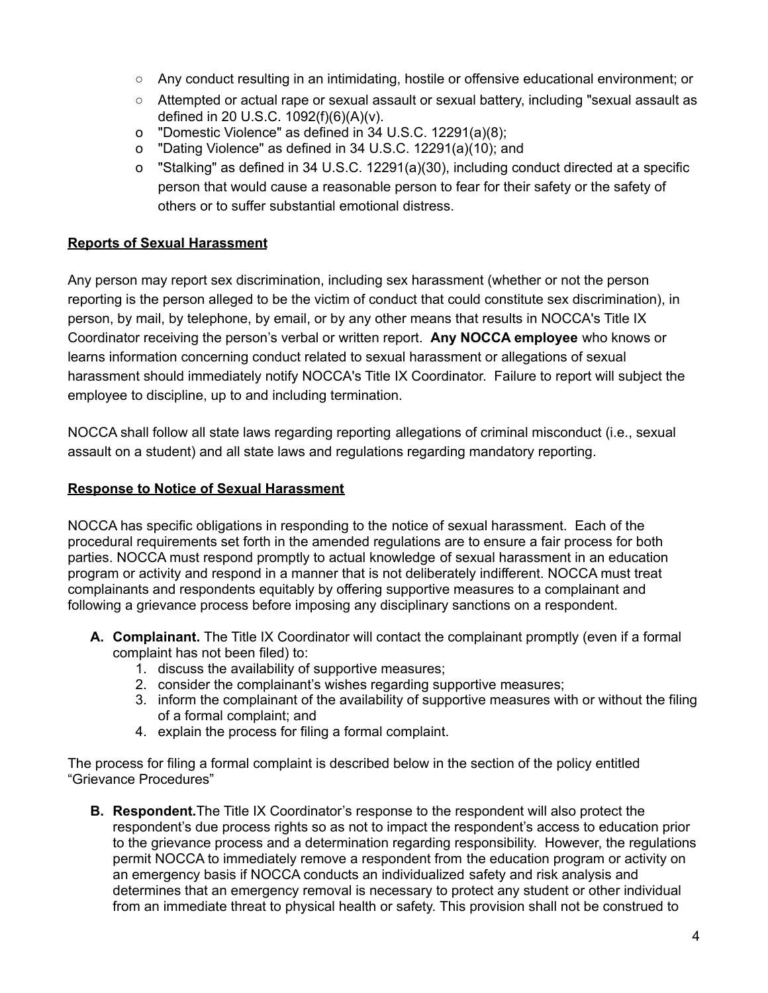- Any conduct resulting in an intimidating, hostile or offensive educational environment; or
- Attempted or actual rape or sexual assault or sexual battery, including "sexual assault as defined in 20 U.S.C. 1092(f)(6)(A)(v).
- o "Domestic Violence" as defined in 34 U.S.C. 12291(a)(8);
- o "Dating Violence" as defined in 34 U.S.C. 12291(a)(10); and
- o "Stalking" as defined in 34 U.S.C. 12291(a)(30), including conduct directed at a specific person that would cause a reasonable person to fear for their safety or the safety of others or to suffer substantial emotional distress.

#### **Reports of Sexual Harassment**

Any person may report sex discrimination, including sex harassment (whether or not the person reporting is the person alleged to be the victim of conduct that could constitute sex discrimination), in person, by mail, by telephone, by email, or by any other means that results in NOCCA's Title IX Coordinator receiving the person's verbal or written report. **Any NOCCA employee** who knows or learns information concerning conduct related to sexual harassment or allegations of sexual harassment should immediately notify NOCCA's Title IX Coordinator. Failure to report will subject the employee to discipline, up to and including termination.

NOCCA shall follow all state laws regarding reporting allegations of criminal misconduct (i.e., sexual assault on a student) and all state laws and regulations regarding mandatory reporting.

#### **Response to Notice of Sexual Harassment**

NOCCA has specific obligations in responding to the notice of sexual harassment. Each of the procedural requirements set forth in the amended regulations are to ensure a fair process for both parties. NOCCA must respond promptly to actual knowledge of sexual harassment in an education program or activity and respond in a manner that is not deliberately indifferent. NOCCA must treat complainants and respondents equitably by offering supportive measures to a complainant and following a grievance process before imposing any disciplinary sanctions on a respondent.

- **A. Complainant.** The Title IX Coordinator will contact the complainant promptly (even if a formal complaint has not been filed) to:
	- 1. discuss the availability of supportive measures;
	- 2. consider the complainant's wishes regarding supportive measures;
	- 3. inform the complainant of the availability of supportive measures with or without the filing of a formal complaint; and
	- 4. explain the process for filing a formal complaint.

The process for filing a formal complaint is described below in the section of the policy entitled "Grievance Procedures"

**B. Respondent.**The Title IX Coordinator's response to the respondent will also protect the respondent's due process rights so as not to impact the respondent's access to education prior to the grievance process and a determination regarding responsibility. However, the regulations permit NOCCA to immediately remove a respondent from the education program or activity on an emergency basis if NOCCA conducts an individualized safety and risk analysis and determines that an emergency removal is necessary to protect any student or other individual from an immediate threat to physical health or safety. This provision shall not be construed to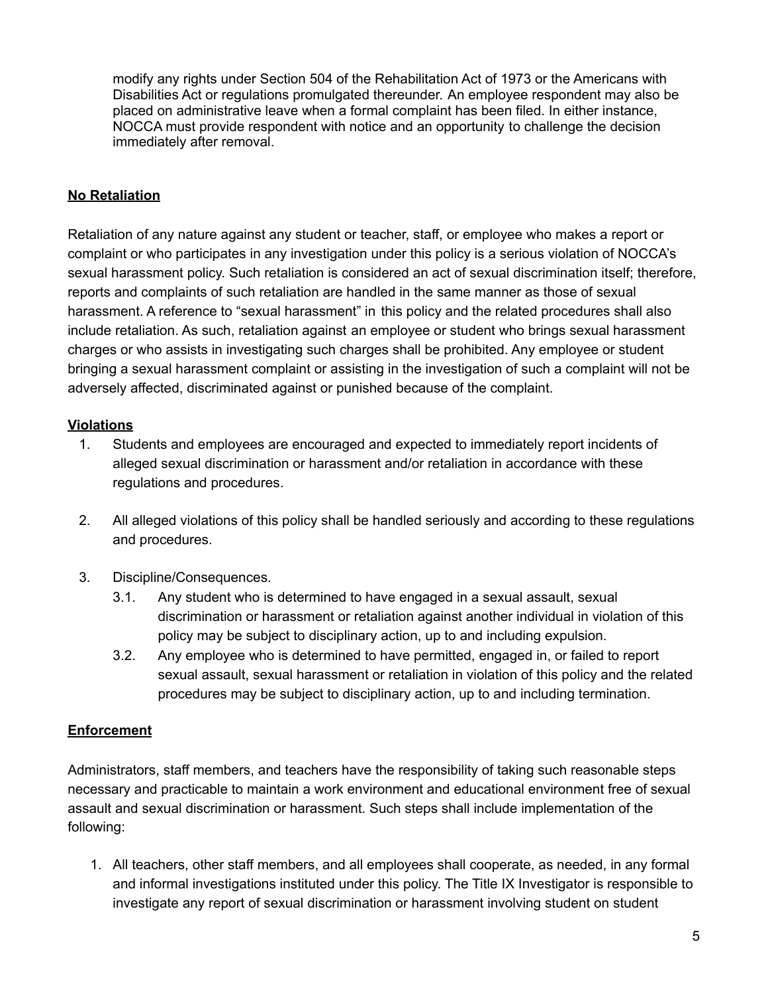modify any rights under Section 504 of the Rehabilitation Act of 1973 or the Americans with Disabilities Act or regulations promulgated thereunder. An employee respondent may also be placed on administrative leave when a formal complaint has been filed. In either instance, NOCCA must provide respondent with notice and an opportunity to challenge the decision immediately after removal.

#### **No Retaliation**

Retaliation of any nature against any student or teacher, staff, or employee who makes a report or complaint or who participates in any investigation under this policy is a serious violation of NOCCA's sexual harassment policy. Such retaliation is considered an act of sexual discrimination itself; therefore, reports and complaints of such retaliation are handled in the same manner as those of sexual harassment. A reference to "sexual harassment" in this policy and the related procedures shall also include retaliation. As such, retaliation against an employee or student who brings sexual harassment charges or who assists in investigating such charges shall be prohibited. Any employee or student bringing a sexual harassment complaint or assisting in the investigation of such a complaint will not be adversely affected, discriminated against or punished because of the complaint.

#### **Violations**

- 1. Students and employees are encouraged and expected to immediately report incidents of alleged sexual discrimination or harassment and/or retaliation in accordance with these regulations and procedures.
- 2. All alleged violations of this policy shall be handled seriously and according to these regulations and procedures.
- 3. Discipline/Consequences.
	- 3.1. Any student who is determined to have engaged in a sexual assault, sexual discrimination or harassment or retaliation against another individual in violation of this policy may be subject to disciplinary action, up to and including expulsion.
	- 3.2. Any employee who is determined to have permitted, engaged in, or failed to report sexual assault, sexual harassment or retaliation in violation of this policy and the related procedures may be subject to disciplinary action, up to and including termination.

#### **Enforcement**

Administrators, staff members, and teachers have the responsibility of taking such reasonable steps necessary and practicable to maintain a work environment and educational environment free of sexual assault and sexual discrimination or harassment. Such steps shall include implementation of the following:

1. All teachers, other staff members, and all employees shall cooperate, as needed, in any formal and informal investigations instituted under this policy. The Title IX Investigator is responsible to investigate any report of sexual discrimination or harassment involving student on student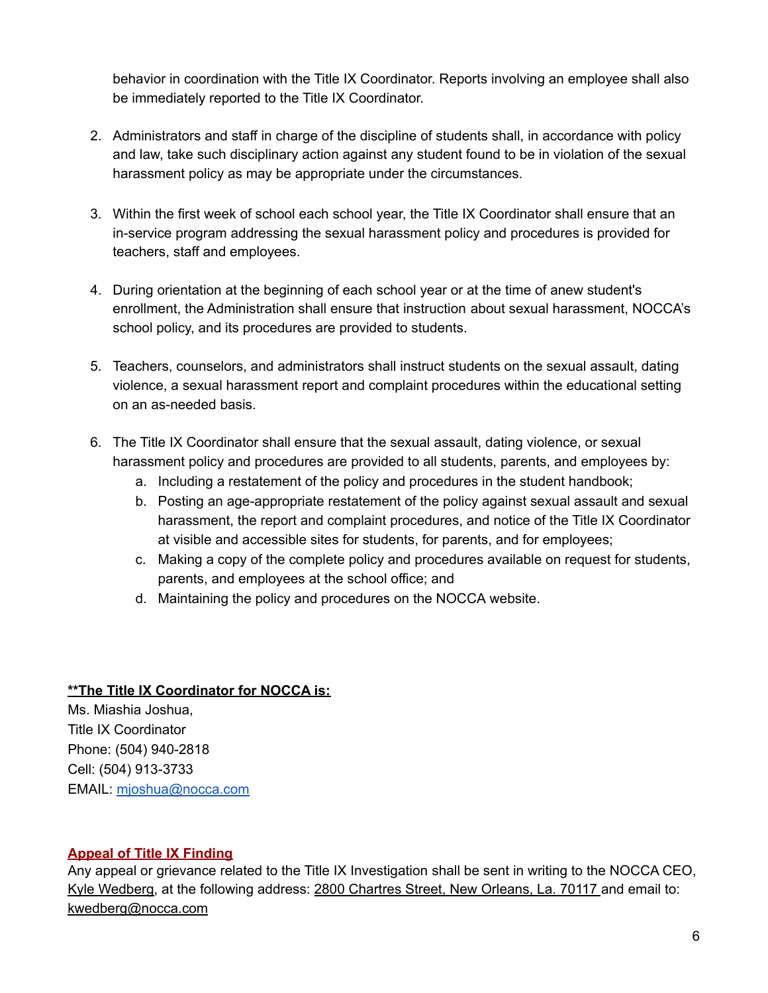behavior in coordination with the Title IX Coordinator. Reports involving an employee shall also be immediately reported to the Title IX Coordinator.

- 2. Administrators and staff in charge of the discipline of students shall, in accordance with policy and law, take such disciplinary action against any student found to be in violation of the sexual harassment policy as may be appropriate under the circumstances.
- 3. Within the first week of school each school year, the Title IX Coordinator shall ensure that an in-service program addressing the sexual harassment policy and procedures is provided for teachers, staff and employees.
- 4. During orientation at the beginning of each school year or at the time of anew student's enrollment, the Administration shall ensure that instruction about sexual harassment, NOCCA's school policy, and its procedures are provided to students.
- 5. Teachers, counselors, and administrators shall instruct students on the sexual assault, dating violence, a sexual harassment report and complaint procedures within the educational setting on an as-needed basis.
- 6. The Title IX Coordinator shall ensure that the sexual assault, dating violence, or sexual harassment policy and procedures are provided to all students, parents, and employees by:
	- a. Including a restatement of the policy and procedures in the student handbook;
	- b. Posting an age-appropriate restatement of the policy against sexual assault and sexual harassment, the report and complaint procedures, and notice of the Title IX Coordinator at visible and accessible sites for students, for parents, and for employees;
	- c. Making a copy of the complete policy and procedures available on request for students, parents, and employees at the school office; and
	- d. Maintaining the policy and procedures on the NOCCA website.

### **\*\*The Title IX Coordinator for NOCCA is:**

Ms. Miashia Joshua, Title IX Coordinator Phone: (504) 940-2818 Cell: (504) 913-3733 EMAIL: mjoshua@nocca.com

### **Appeal of Title IX Finding**

Any appeal or grievance related to the Title IX Investigation shall be sent in writing to the NOCCA CEO, Kyle Wedberg, at the following address: 2800 Chartres Street, New Orleans, La. 70117 and email to: kwedberg@nocca.com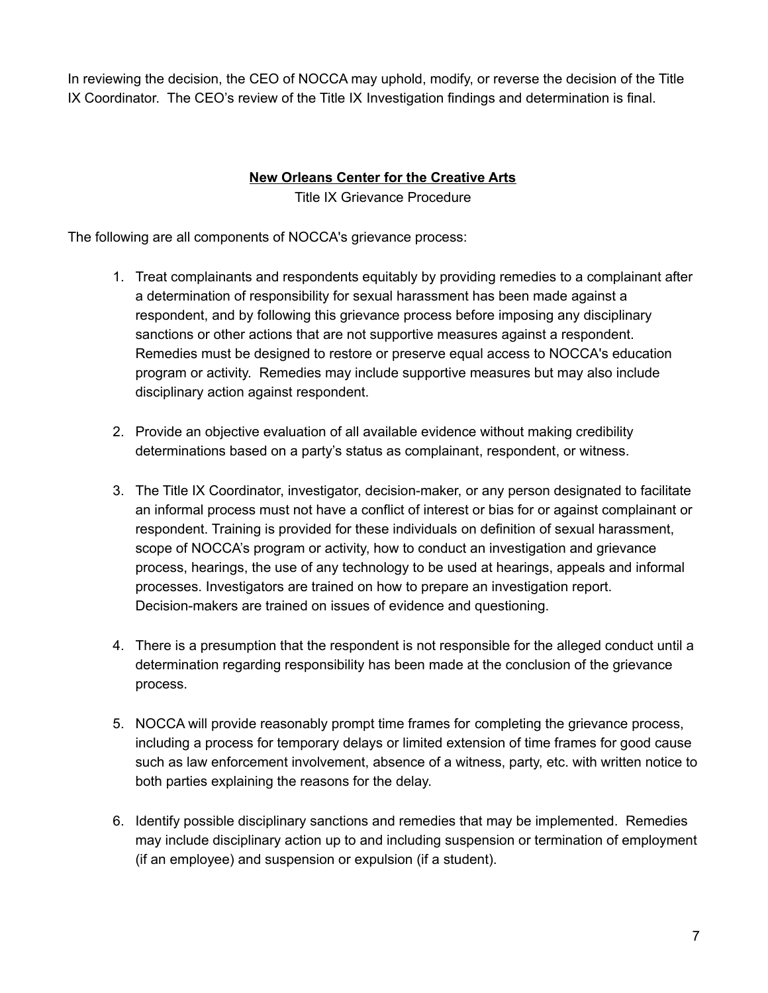In reviewing the decision, the CEO of NOCCA may uphold, modify, or reverse the decision of the Title IX Coordinator. The CEO's review of the Title IX Investigation findings and determination is final.

## **New Orleans Center for the Creative Arts**

Title IX Grievance Procedure

The following are all components of NOCCA's grievance process:

- 1. Treat complainants and respondents equitably by providing remedies to a complainant after a determination of responsibility for sexual harassment has been made against a respondent, and by following this grievance process before imposing any disciplinary sanctions or other actions that are not supportive measures against a respondent. Remedies must be designed to restore or preserve equal access to NOCCA's education program or activity. Remedies may include supportive measures but may also include disciplinary action against respondent.
- 2. Provide an objective evaluation of all available evidence without making credibility determinations based on a party's status as complainant, respondent, or witness.
- 3. The Title IX Coordinator, investigator, decision-maker, or any person designated to facilitate an informal process must not have a conflict of interest or bias for or against complainant or respondent. Training is provided for these individuals on definition of sexual harassment, scope of NOCCA's program or activity, how to conduct an investigation and grievance process, hearings, the use of any technology to be used at hearings, appeals and informal processes. Investigators are trained on how to prepare an investigation report. Decision-makers are trained on issues of evidence and questioning.
- 4. There is a presumption that the respondent is not responsible for the alleged conduct until a determination regarding responsibility has been made at the conclusion of the grievance process.
- 5. NOCCA will provide reasonably prompt time frames for completing the grievance process, including a process for temporary delays or limited extension of time frames for good cause such as law enforcement involvement, absence of a witness, party, etc. with written notice to both parties explaining the reasons for the delay.
- 6. Identify possible disciplinary sanctions and remedies that may be implemented. Remedies may include disciplinary action up to and including suspension or termination of employment (if an employee) and suspension or expulsion (if a student).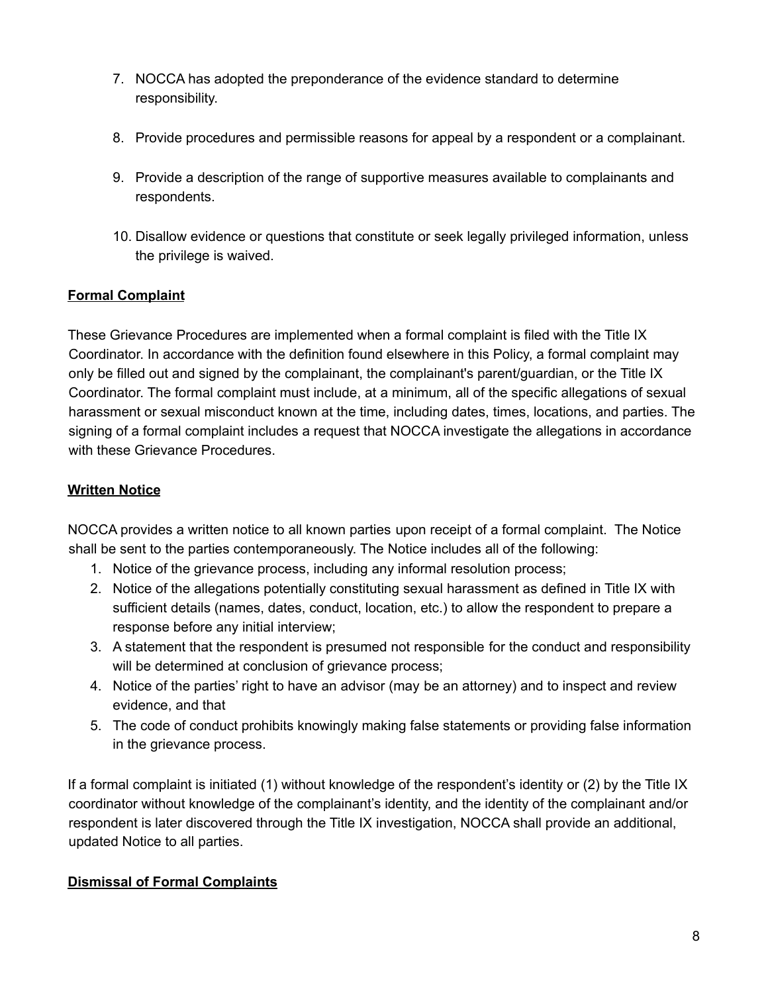- 7. NOCCA has adopted the preponderance of the evidence standard to determine responsibility.
- 8. Provide procedures and permissible reasons for appeal by a respondent or a complainant.
- 9. Provide a description of the range of supportive measures available to complainants and respondents.
- 10. Disallow evidence or questions that constitute or seek legally privileged information, unless the privilege is waived.

## **Formal Complaint**

These Grievance Procedures are implemented when a formal complaint is filed with the Title IX Coordinator. In accordance with the definition found elsewhere in this Policy, a formal complaint may only be filled out and signed by the complainant, the complainant's parent/guardian, or the Title IX Coordinator. The formal complaint must include, at a minimum, all of the specific allegations of sexual harassment or sexual misconduct known at the time, including dates, times, locations, and parties. The signing of a formal complaint includes a request that NOCCA investigate the allegations in accordance with these Grievance Procedures.

## **Written Notice**

NOCCA provides a written notice to all known parties upon receipt of a formal complaint. The Notice shall be sent to the parties contemporaneously. The Notice includes all of the following:

- 1. Notice of the grievance process, including any informal resolution process;
- 2. Notice of the allegations potentially constituting sexual harassment as defined in Title IX with sufficient details (names, dates, conduct, location, etc.) to allow the respondent to prepare a response before any initial interview;
- 3. A statement that the respondent is presumed not responsible for the conduct and responsibility will be determined at conclusion of grievance process;
- 4. Notice of the parties' right to have an advisor (may be an attorney) and to inspect and review evidence, and that
- 5. The code of conduct prohibits knowingly making false statements or providing false information in the grievance process.

If a formal complaint is initiated (1) without knowledge of the respondent's identity or (2) by the Title IX coordinator without knowledge of the complainant's identity, and the identity of the complainant and/or respondent is later discovered through the Title IX investigation, NOCCA shall provide an additional, updated Notice to all parties.

# **Dismissal of Formal Complaints**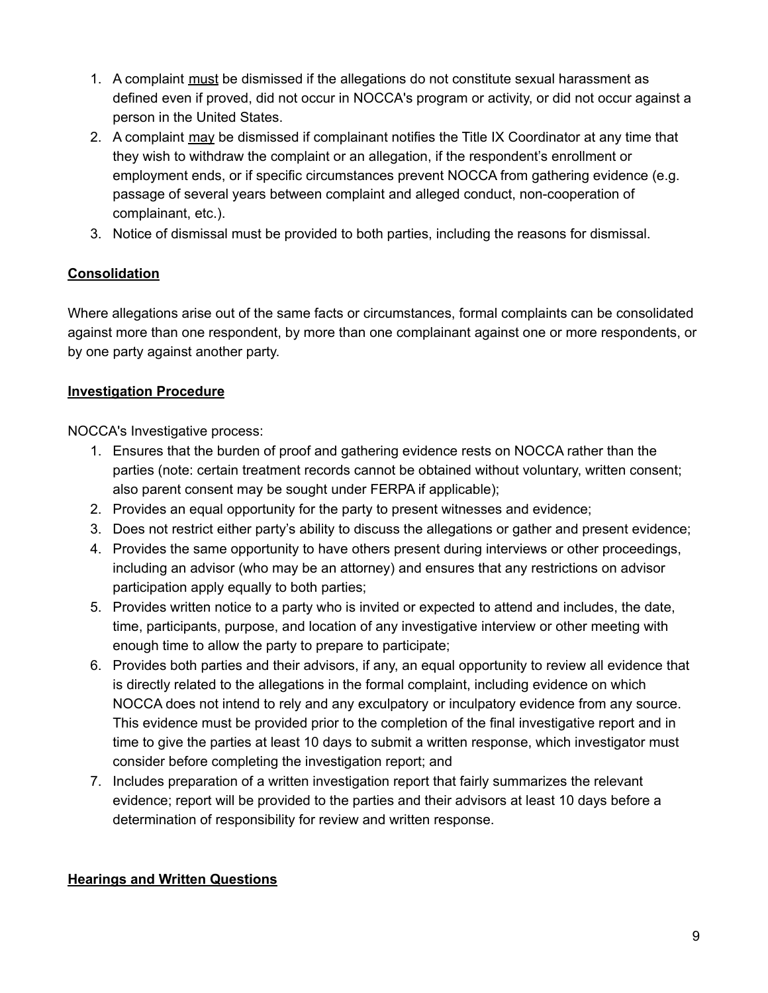- 1. A complaint must be dismissed if the allegations do not constitute sexual harassment as defined even if proved, did not occur in NOCCA's program or activity, or did not occur against a person in the United States.
- 2. A complaint may be dismissed if complainant notifies the Title IX Coordinator at any time that they wish to withdraw the complaint or an allegation, if the respondent's enrollment or employment ends, or if specific circumstances prevent NOCCA from gathering evidence (e.g. passage of several years between complaint and alleged conduct, non-cooperation of complainant, etc.).
- 3. Notice of dismissal must be provided to both parties, including the reasons for dismissal.

# **Consolidation**

Where allegations arise out of the same facts or circumstances, formal complaints can be consolidated against more than one respondent, by more than one complainant against one or more respondents, or by one party against another party.

## **Investigation Procedure**

NOCCA's Investigative process:

- 1. Ensures that the burden of proof and gathering evidence rests on NOCCA rather than the parties (note: certain treatment records cannot be obtained without voluntary, written consent; also parent consent may be sought under FERPA if applicable);
- 2. Provides an equal opportunity for the party to present witnesses and evidence;
- 3. Does not restrict either party's ability to discuss the allegations or gather and present evidence;
- 4. Provides the same opportunity to have others present during interviews or other proceedings, including an advisor (who may be an attorney) and ensures that any restrictions on advisor participation apply equally to both parties;
- 5. Provides written notice to a party who is invited or expected to attend and includes, the date, time, participants, purpose, and location of any investigative interview or other meeting with enough time to allow the party to prepare to participate;
- 6. Provides both parties and their advisors, if any, an equal opportunity to review all evidence that is directly related to the allegations in the formal complaint, including evidence on which NOCCA does not intend to rely and any exculpatory or inculpatory evidence from any source. This evidence must be provided prior to the completion of the final investigative report and in time to give the parties at least 10 days to submit a written response, which investigator must consider before completing the investigation report; and
- 7. Includes preparation of a written investigation report that fairly summarizes the relevant evidence; report will be provided to the parties and their advisors at least 10 days before a determination of responsibility for review and written response.

### **Hearings and Written Questions**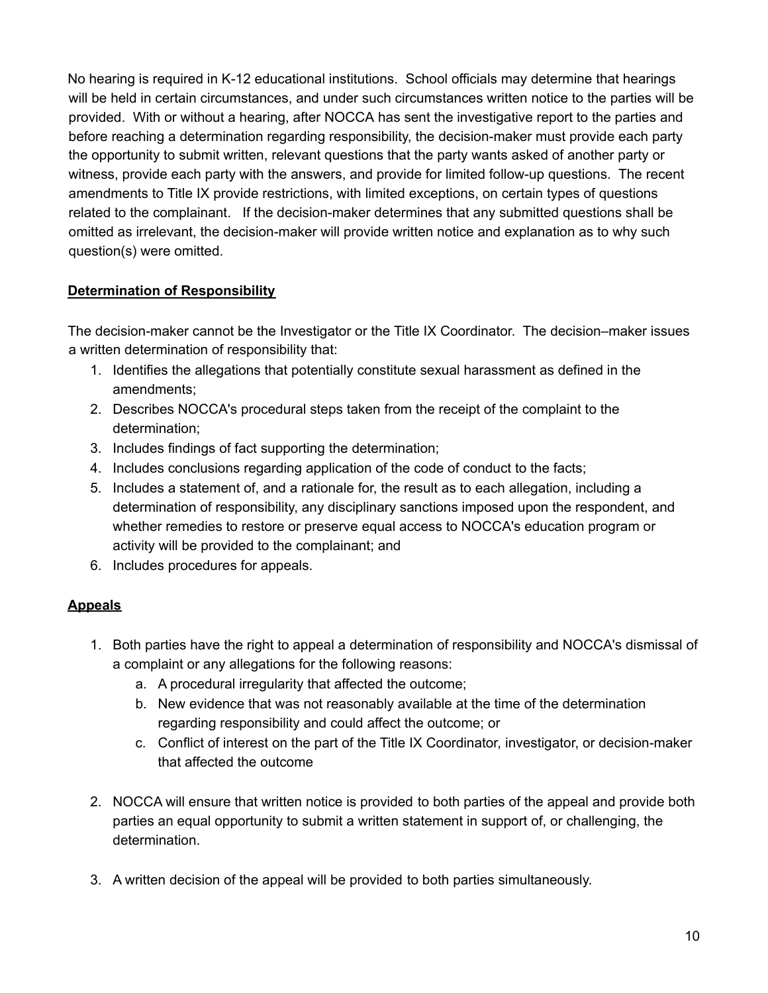No hearing is required in K-12 educational institutions. School officials may determine that hearings will be held in certain circumstances, and under such circumstances written notice to the parties will be provided. With or without a hearing, after NOCCA has sent the investigative report to the parties and before reaching a determination regarding responsibility, the decision-maker must provide each party the opportunity to submit written, relevant questions that the party wants asked of another party or witness, provide each party with the answers, and provide for limited follow-up questions. The recent amendments to Title IX provide restrictions, with limited exceptions, on certain types of questions related to the complainant. If the decision-maker determines that any submitted questions shall be omitted as irrelevant, the decision-maker will provide written notice and explanation as to why such question(s) were omitted.

## **Determination of Responsibility**

The decision-maker cannot be the Investigator or the Title IX Coordinator. The decision–maker issues a written determination of responsibility that:

- 1. Identifies the allegations that potentially constitute sexual harassment as defined in the amendments;
- 2. Describes NOCCA's procedural steps taken from the receipt of the complaint to the determination;
- 3. Includes findings of fact supporting the determination;
- 4. Includes conclusions regarding application of the code of conduct to the facts;
- 5. Includes a statement of, and a rationale for, the result as to each allegation, including a determination of responsibility, any disciplinary sanctions imposed upon the respondent, and whether remedies to restore or preserve equal access to NOCCA's education program or activity will be provided to the complainant; and
- 6. Includes procedures for appeals.

# **Appeals**

- 1. Both parties have the right to appeal a determination of responsibility and NOCCA's dismissal of a complaint or any allegations for the following reasons:
	- a. A procedural irregularity that affected the outcome;
	- b. New evidence that was not reasonably available at the time of the determination regarding responsibility and could affect the outcome; or
	- c. Conflict of interest on the part of the Title IX Coordinator, investigator, or decision-maker that affected the outcome
- 2. NOCCA will ensure that written notice is provided to both parties of the appeal and provide both parties an equal opportunity to submit a written statement in support of, or challenging, the determination.
- 3. A written decision of the appeal will be provided to both parties simultaneously.